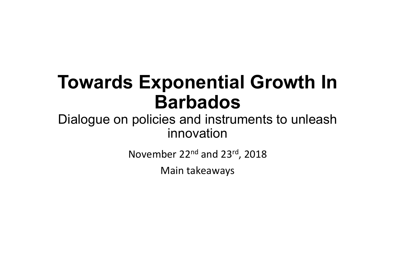#### **Towards Exponential Growth In Barbados**

#### Dialogue on policies and instruments to unleash innovation

November 22<sup>nd</sup> and 23<sup>rd</sup>, 2018

Main takeaways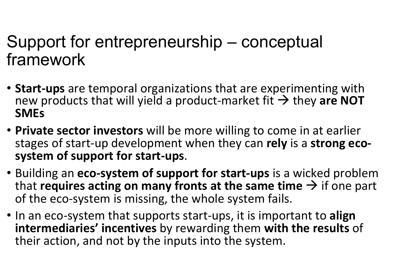#### Support for entrepreneurship – conceptual framework

- **Start-ups** are temporal organizations that are experimenting with new products that will yield a product-market fit  $\rightarrow$  they are NOT **SMEs**
- **Private sector investors** will be more willing to come in at earlier stages of start-up development when they can rely is a strong ecosystem of support for start-ups.
- Building an **eco-system of support for start-ups** is a wicked problem that **requires acting on many fronts at the same time**  $\rightarrow$  if one part of the eco-system is missing, the whole system fails.
- In an eco-system that supports start-ups, it is important to **align intermediaries' incentives** by rewarding them with the results of their action, and not by the inputs into the system.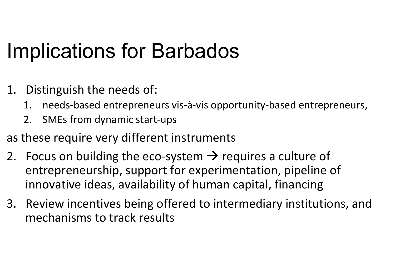### Implications for Barbados

- 1. Distinguish the needs of:
	- 1. needs-based entrepreneurs vis-à-vis opportunity-based entrepreneurs,
	- 2. SMEs from dynamic start-ups
- as these require very different instruments
- 2. Focus on building the eco-system  $\rightarrow$  requires a culture of entrepreneurship, support for experimentation, pipeline of innovative ideas, availability of human capital, financing
- 3. Review incentives being offered to intermediary institutions, and mechanisms to track results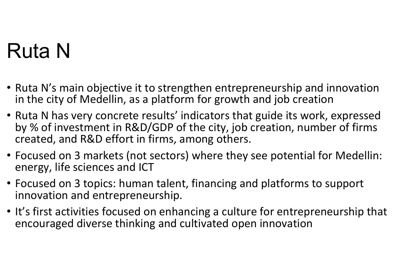# Ruta N

- Ruta N's main objective it to strengthen entrepreneurship and innovation in the city of Medellin, as a platform for growth and job creation
- Ruta N has very concrete results' indicators that guide its work, expressed by % of investment in R&D/GDP of the city, job creation, number of firms created, and R&D effort in firms, among others.
- Focused on 3 markets (not sectors) where they see potential for Medellin: energy, life sciences and ICT
- Focused on 3 topics: human talent, financing and platforms to support innovation and entrepreneurship.
- It's first activities focused on enhancing a culture for entrepreneurship that encouraged diverse thinking and cultivated open innovation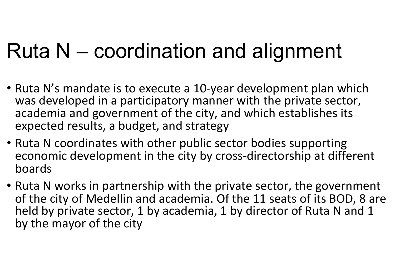# Ruta N – coordination and alignment

- Ruta N's mandate is to execute a 10-year development plan which was developed in a participatory manner with the private sector, academia and government of the city, and which establishes its expected results, a budget, and strategy
- Ruta N coordinates with other public sector bodies supporting economic development in the city by cross-directorship at different boards
- Ruta N works in partnership with the private sector, the government of the city of Medellin and academia. Of the 11 seats of its BOD, 8 are held by private sector, 1 by academia, 1 by director of Ruta N and 1 by the mayor of the city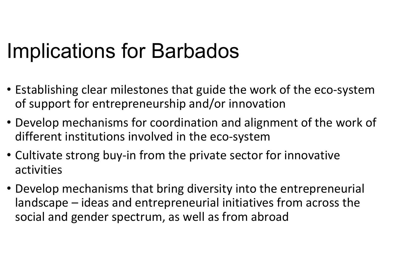#### Implications for Barbados

- Establishing clear milestones that guide the work of the eco-system of support for entrepreneurship and/or innovation
- Develop mechanisms for coordination and alignment of the work of different institutions involved in the eco-system
- Cultivate strong buy-in from the private sector for innovative activities
- Develop mechanisms that bring diversity into the entrepreneurial landscape – ideas and entrepreneurial initiatives from across the social and gender spectrum, as well as from abroad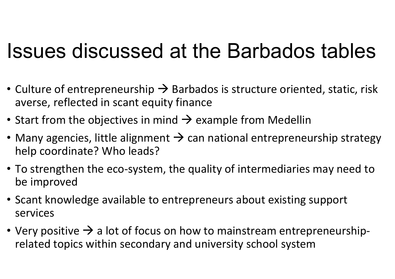#### Issues discussed at the Barbados tables

- Culture of entrepreneurship  $\rightarrow$  Barbados is structure oriented, static, risk averse, reflected in scant equity finance
- Start from the objectives in mind  $\rightarrow$  example from Medellin
- Many agencies, little alignment  $\rightarrow$  can national entrepreneurship strategy help coordinate? Who leads?
- To strengthen the eco-system, the quality of intermediaries may need to be improved
- Scant knowledge available to entrepreneurs about existing support services
- Very positive  $\rightarrow$  a lot of focus on how to mainstream entrepreneurshiprelated topics within secondary and university school system